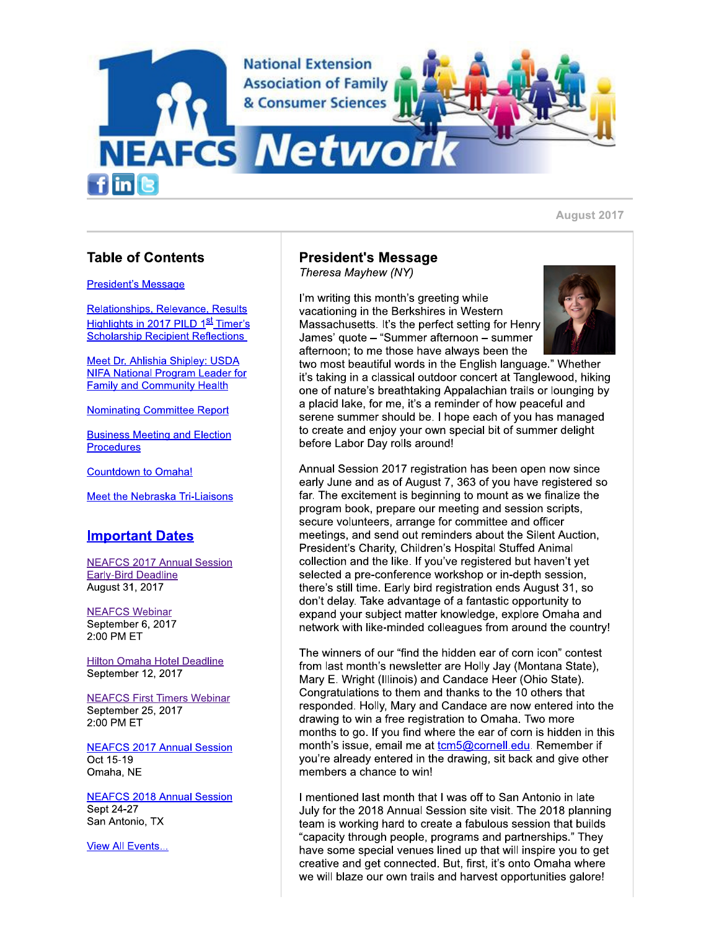

# **Table of Contents**

#### **President's Message**

Relationships, Relevance, Results Highlights in 2017 PILD 1<sup>st</sup> Timer's **Scholarship Recipient Reflections** 

Meet Dr. Ahlishia Shipley: USDA **NIFA National Program Leader for Family and Community Health** 

**Nominating Committee Report** 

**Business Meeting and Election** Procedures

**Countdown to Omaha!** 

Meet the Nebraska Tri-Liaisons

# **Important Dates**

**NEAFCS 2017 Annual Session Early-Bird Deadline** August 31, 2017

**NEAFCS Webinar** September 6, 2017 2:00 PM ET

**Hilton Omaha Hotel Deadline** September 12, 2017

**NEAFCS First Timers Webinar** September 25, 2017 2:00 PM ET

**NEAFCS 2017 Annual Session** Oct 15-19 Omaha, NE

**NEAFCS 2018 Annual Session** Sept 24-27 San Antonio, TX

**View All Events...** 

# **President's Message**

Theresa Mayhew (NY)

I'm writing this month's greeting while vacationing in the Berkshires in Western Massachusetts. It's the perfect setting for Henry James' quote – "Summer afternoon – summer afternoon; to me those have always been the



two most beautiful words in the English language." Whether it's taking in a classical outdoor concert at Tanglewood, hiking one of nature's breathtaking Appalachian trails or lounging by a placid lake, for me, it's a reminder of how peaceful and serene summer should be. I hope each of you has managed to create and enjoy your own special bit of summer delight before Labor Day rolls around!

Annual Session 2017 registration has been open now since early June and as of August 7, 363 of you have registered so far. The excitement is beginning to mount as we finalize the program book, prepare our meeting and session scripts, secure volunteers, arrange for committee and officer meetings, and send out reminders about the Silent Auction, President's Charity, Children's Hospital Stuffed Animal collection and the like. If you've registered but haven't yet selected a pre-conference workshop or in-depth session, there's still time. Early bird registration ends August 31, so don't delay. Take advantage of a fantastic opportunity to expand your subject matter knowledge, explore Omaha and network with like-minded colleagues from around the country!

The winners of our "find the hidden ear of corn icon" contest from last month's newsletter are Holly Jay (Montana State), Mary E. Wright (Illinois) and Candace Heer (Ohio State). Congratulations to them and thanks to the 10 others that responded. Holly, Mary and Candace are now entered into the drawing to win a free registration to Omaha. Two more months to go. If you find where the ear of corn is hidden in this month's issue, email me at tom5@cornell.edu. Remember if you're already entered in the drawing, sit back and give other members a chance to win!

I mentioned last month that I was off to San Antonio in late July for the 2018 Annual Session site visit. The 2018 planning team is working hard to create a fabulous session that builds "capacity through people, programs and partnerships." They have some special venues lined up that will inspire you to get creative and get connected. But, first, it's onto Omaha where we will blaze our own trails and harvest opportunities galore!

#### August 2017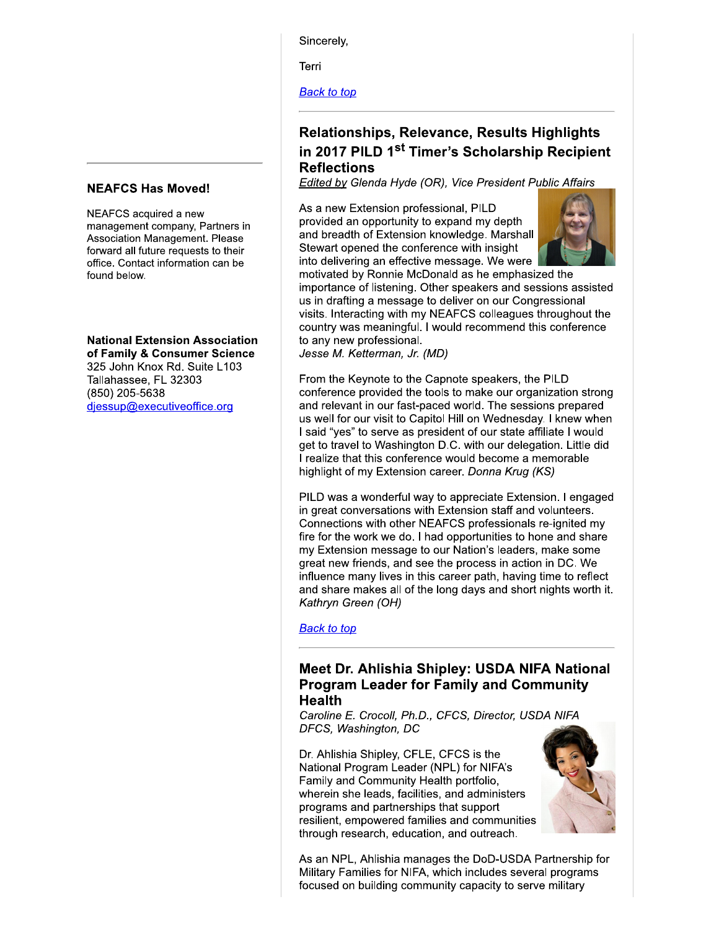Sincerelv.

Terri

**Back to top** 

# **Relationships, Relevance, Results Highlights** in 2017 PILD 1<sup>st</sup> Timer's Scholarship Recipient **Reflections**

Edited by Glenda Hyde (OR), Vice President Public Affairs

As a new Extension professional, PILD provided an opportunity to expand my depth and breadth of Extension knowledge. Marshall Stewart opened the conference with insight into delivering an effective message. We were



motivated by Ronnie McDonald as he emphasized the importance of listening. Other speakers and sessions assisted us in drafting a message to deliver on our Congressional visits. Interacting with my NEAFCS colleagues throughout the country was meaningful. I would recommend this conference to any new professional.

Jesse M. Ketterman, Jr. (MD)

From the Keynote to the Capnote speakers, the PILD conference provided the tools to make our organization strong and relevant in our fast-paced world. The sessions prepared us well for our visit to Capitol Hill on Wednesday. I knew when I said "yes" to serve as president of our state affiliate I would get to travel to Washington D.C. with our delegation. Little did I realize that this conference would become a memorable highlight of my Extension career. Donna Krug (KS)

PILD was a wonderful way to appreciate Extension. I engaged in great conversations with Extension staff and volunteers. Connections with other NEAFCS professionals re-ignited my fire for the work we do. I had opportunities to hone and share my Extension message to our Nation's leaders, make some great new friends, and see the process in action in DC. We influence many lives in this career path, having time to reflect and share makes all of the long days and short nights worth it. Kathryn Green (OH)

**Back to top** 

### Meet Dr. Ahlishia Shipley: USDA NIFA National **Program Leader for Family and Community Health**

Caroline E. Crocoll, Ph.D., CFCS, Director, USDA NIFA DFCS, Washington, DC

Dr. Ahlishia Shipley, CFLE, CFCS is the National Program Leader (NPL) for NIFA's Family and Community Health portfolio, wherein she leads, facilities, and administers programs and partnerships that support resilient, empowered families and communities through research, education, and outreach.



As an NPL, Ahlishia manages the DoD-USDA Partnership for Military Families for NIFA, which includes several programs focused on building community capacity to serve military

### **NEAFCS Has Moved!**

NEAFCS acquired a new management company, Partners in Association Management. Please forward all future requests to their office. Contact information can be found below.

**National Extension Association** of Family & Consumer Science 325 John Knox Rd. Suite L103 Tallahassee, FL 32303

(850) 205-5638 djessup@executiveoffice.org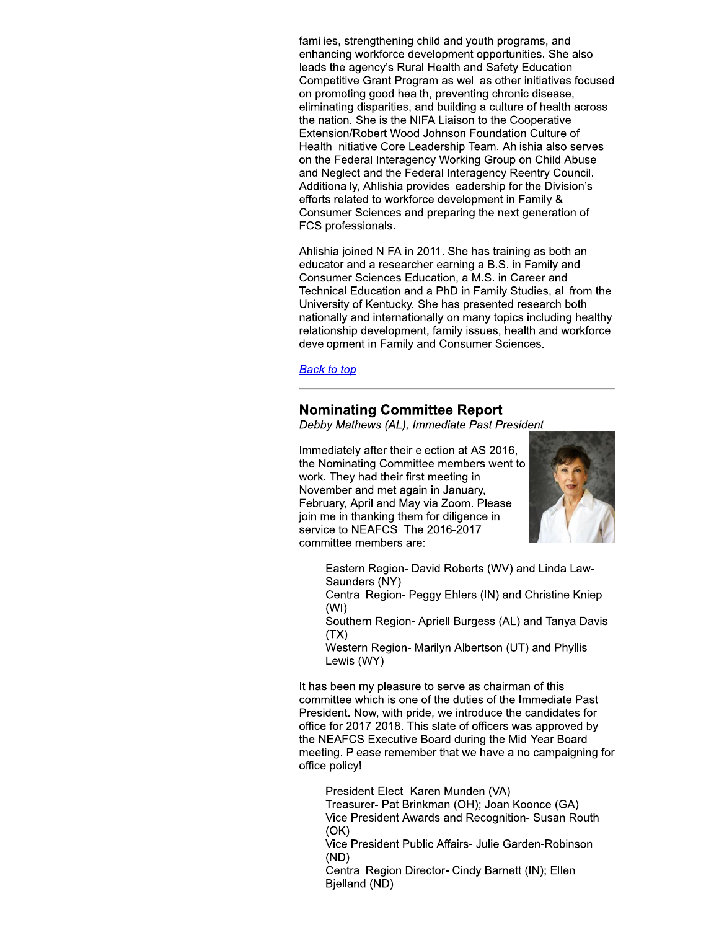families, strengthening child and youth programs, and enhancing workforce development opportunities. She also leads the agency's Rural Health and Safety Education Competitive Grant Program as well as other initiatives focused on promoting good health, preventing chronic disease, eliminating disparities, and building a culture of health across the nation. She is the NIFA Liaison to the Cooperative Extension/Robert Wood Johnson Foundation Culture of Health Initiative Core Leadership Team. Ahlishia also serves on the Federal Interagency Working Group on Child Abuse and Neglect and the Federal Interagency Reentry Council. Additionally, Ahlishia provides leadership for the Division's efforts related to workforce development in Family & Consumer Sciences and preparing the next generation of FCS professionals.

Ahlishia joined NIFA in 2011. She has training as both an educator and a researcher earning a B.S. in Family and Consumer Sciences Education, a M.S. in Career and Technical Education and a PhD in Family Studies, all from the University of Kentucky. She has presented research both nationally and internationally on many topics including healthy relationship development, family issues, health and workforce development in Family and Consumer Sciences.

**Back to top** 

### **Nominating Committee Report**

Debby Mathews (AL), Immediate Past President

Immediately after their election at AS 2016, the Nominating Committee members went to work. They had their first meeting in November and met again in January. February, April and May via Zoom. Please join me in thanking them for diligence in service to NEAFCS. The 2016-2017 committee members are:



Eastern Region- David Roberts (WV) and Linda Law-Saunders (NY)

Central Region- Peggy Ehlers (IN) and Christine Kniep  $(WI)$ 

Southern Region- Apriell Burgess (AL) and Tanya Davis  $(TX)$ 

Western Region- Marilyn Albertson (UT) and Phyllis Lewis (WY)

It has been my pleasure to serve as chairman of this committee which is one of the duties of the Immediate Past President. Now, with pride, we introduce the candidates for office for 2017-2018. This slate of officers was approved by the NEAFCS Executive Board during the Mid-Year Board meeting. Please remember that we have a no campaigning for office policy!

President-Elect- Karen Munden (VA)

Treasurer- Pat Brinkman (OH); Joan Koonce (GA) Vice President Awards and Recognition- Susan Routh  $(OK)$ 

Vice President Public Affairs- Julie Garden-Robinson  $(ND)$ 

Central Region Director- Cindy Barnett (IN); Ellen Bjelland (ND)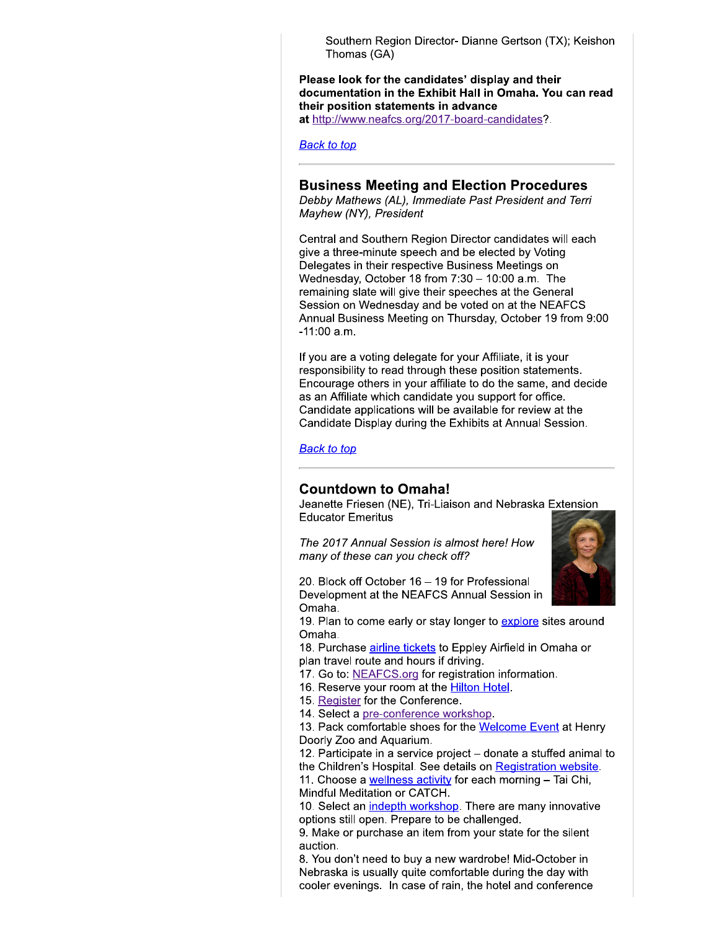Southern Region Director- Dianne Gertson (TX); Keishon Thomas (GA)

Please look for the candidates' display and their documentation in the Exhibit Hall in Omaha. You can read their position statements in advance

at http://www.neafcs.org/2017-board-candidates?.

**Back to top** 

### **Business Meeting and Election Procedures**

Debby Mathews (AL), Immediate Past President and Terri Mayhew (NY), President

Central and Southern Region Director candidates will each give a three-minute speech and be elected by Voting Delegates in their respective Business Meetings on Wednesday, October 18 from  $7:30 - 10:00$  a.m. The remaining slate will give their speeches at the General Session on Wednesday and be voted on at the NEAFCS Annual Business Meeting on Thursday, October 19 from 9:00  $-11:00$  a.m.

If you are a voting delegate for your Affiliate, it is your responsibility to read through these position statements. Encourage others in your affiliate to do the same, and decide as an Affiliate which candidate you support for office. Candidate applications will be available for review at the Candidate Display during the Exhibits at Annual Session.

#### **Back to top**

#### **Countdown to Omaha!**

Jeanette Friesen (NE), Tri-Liaison and Nebraska Extension **Educator Emeritus** 

The 2017 Annual Session is almost here! How many of these can you check off?



20. Block off October 16 - 19 for Professional Development at the NEAFCS Annual Session in Omaha.

19. Plan to come early or stay longer to explore sites around Omaha.

18. Purchase airline tickets to Eppley Airfield in Omaha or plan travel route and hours if driving.

- 17. Go to: NEAFCS.org for registration information.
- 16. Reserve your room at the **Hilton Hotel**.
- 15. Register for the Conference.
- 14. Select a pre-conference workshop.

13. Pack comfortable shoes for the Welcome Event at Henry Doorly Zoo and Aquarium.

12. Participate in a service project – donate a stuffed animal to the Children's Hospital. See details on Registration website.

11. Choose a wellness activity for each morning - Tai Chi, Mindful Meditation or CATCH.

10. Select an indepth workshop. There are many innovative options still open. Prepare to be challenged.

9. Make or purchase an item from your state for the silent auction.

8. You don't need to buy a new wardrobe! Mid-October in Nebraska is usually quite comfortable during the day with cooler evenings. In case of rain, the hotel and conference